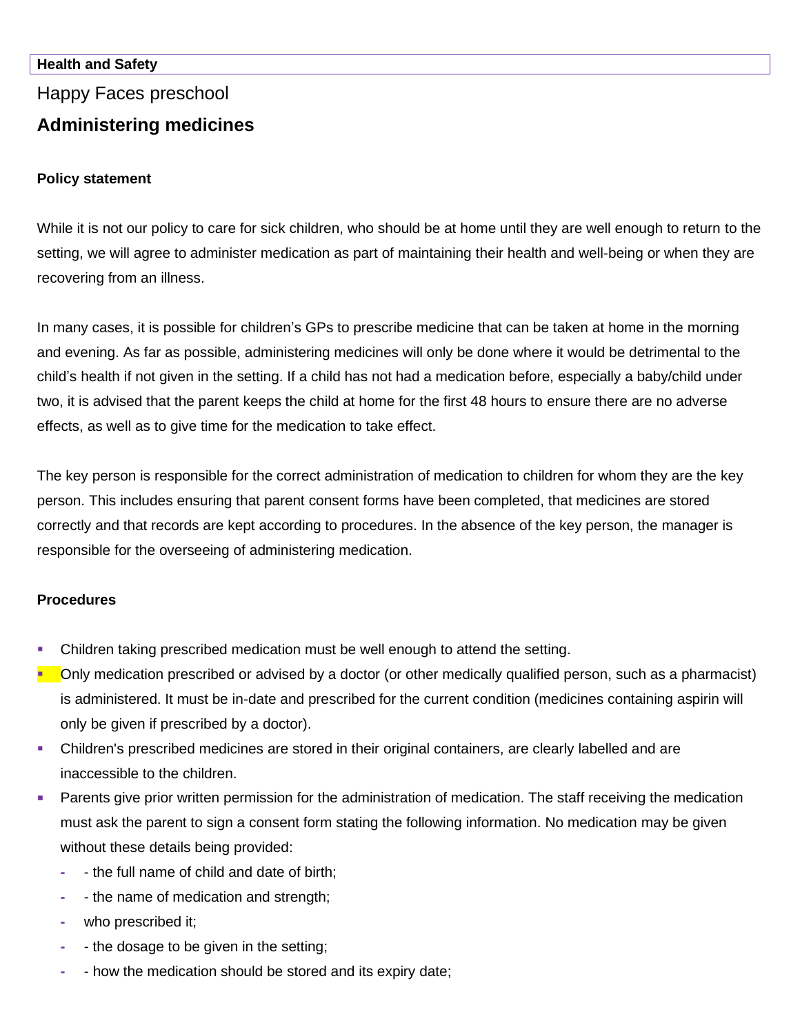## **Health and Safety**

Happy Faces preschool

# **Administering medicines**

## **Policy statement**

While it is not our policy to care for sick children, who should be at home until they are well enough to return to the setting, we will agree to administer medication as part of maintaining their health and well-being or when they are recovering from an illness.

In many cases, it is possible for children's GPs to prescribe medicine that can be taken at home in the morning and evening. As far as possible, administering medicines will only be done where it would be detrimental to the child's health if not given in the setting. If a child has not had a medication before, especially a baby/child under two, it is advised that the parent keeps the child at home for the first 48 hours to ensure there are no adverse effects, as well as to give time for the medication to take effect.

The key person is responsible for the correct administration of medication to children for whom they are the key person. This includes ensuring that parent consent forms have been completed, that medicines are stored correctly and that records are kept according to procedures. In the absence of the key person, the manager is responsible for the overseeing of administering medication.

# **Procedures**

- **Children taking prescribed medication must be well enough to attend the setting.**
- Only medication prescribed or advised by a doctor (or other medically qualified person, such as a pharmacist) is administered. It must be in-date and prescribed for the current condition (medicines containing aspirin will only be given if prescribed by a doctor).
- **•** Children's prescribed medicines are stored in their original containers, are clearly labelled and are inaccessible to the children.
- **Parents give prior written permission for the administration of medication. The staff receiving the medication** must ask the parent to sign a consent form stating the following information. No medication may be given without these details being provided:
	- **-** the full name of child and date of birth;
	- **-** the name of medication and strength;
	- **-** who prescribed it;
	- **-** the dosage to be given in the setting;
	- **-** how the medication should be stored and its expiry date;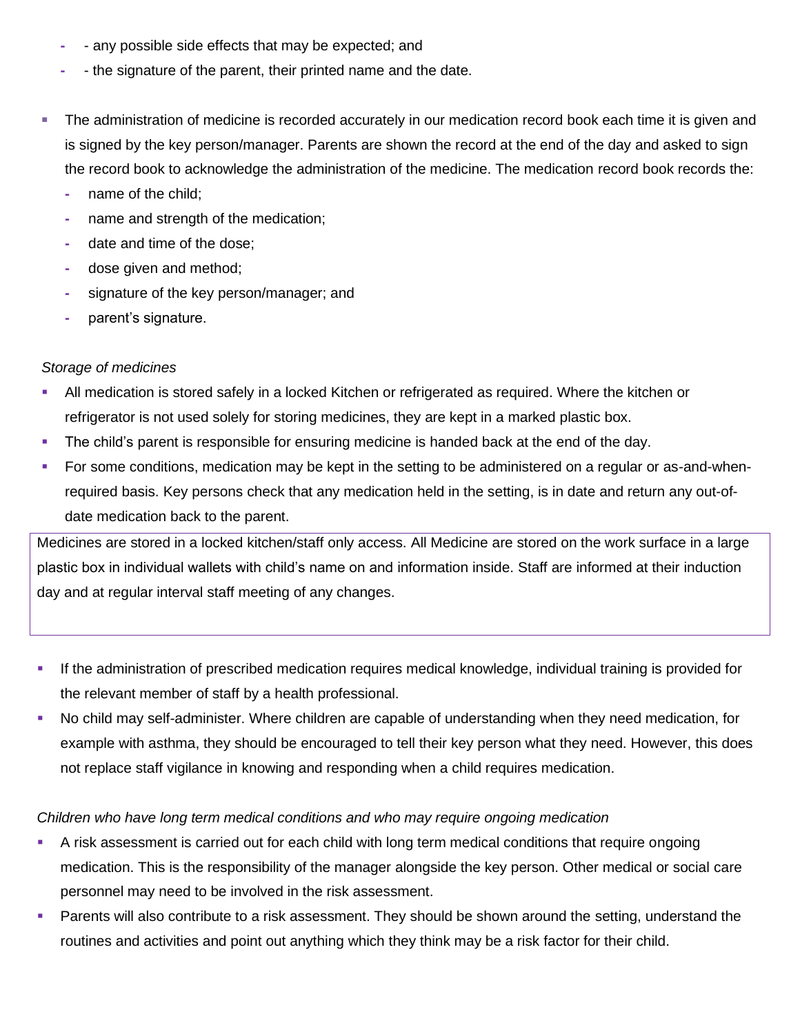- **-** any possible side effects that may be expected; and
- **-** the signature of the parent, their printed name and the date.
- **The administration of medicine is recorded accurately in our medication record book each time it is given and i** is signed by the key person/manager. Parents are shown the record at the end of the day and asked to sign the record book to acknowledge the administration of the medicine. The medication record book records the:
	- **-** name of the child;
	- **-** name and strength of the medication;
	- **-** date and time of the dose;
	- **-** dose given and method;
	- **-** signature of the key person/manager; and
	- **-** parent's signature.

#### *Storage of medicines*

- All medication is stored safely in a locked Kitchen or refrigerated as required. Where the kitchen or refrigerator is not used solely for storing medicines, they are kept in a marked plastic box.
- The child's parent is responsible for ensuring medicine is handed back at the end of the day.
- For some conditions, medication may be kept in the setting to be administered on a regular or as-and-whenrequired basis. Key persons check that any medication held in the setting, is in date and return any out-ofdate medication back to the parent.

Medicines are stored in a locked kitchen/staff only access. All Medicine are stored on the work surface in a large plastic box in individual wallets with child's name on and information inside. Staff are informed at their induction day and at regular interval staff meeting of any changes.

- **.** If the administration of prescribed medication requires medical knowledge, individual training is provided for the relevant member of staff by a health professional.
- No child may self-administer. Where children are capable of understanding when they need medication, for example with asthma, they should be encouraged to tell their key person what they need. However, this does not replace staff vigilance in knowing and responding when a child requires medication.

#### *Children who have long term medical conditions and who may require ongoing medication*

- **•** A risk assessment is carried out for each child with long term medical conditions that require ongoing medication. This is the responsibility of the manager alongside the key person. Other medical or social care personnel may need to be involved in the risk assessment.
- **EXECT** Parents will also contribute to a risk assessment. They should be shown around the setting, understand the routines and activities and point out anything which they think may be a risk factor for their child.